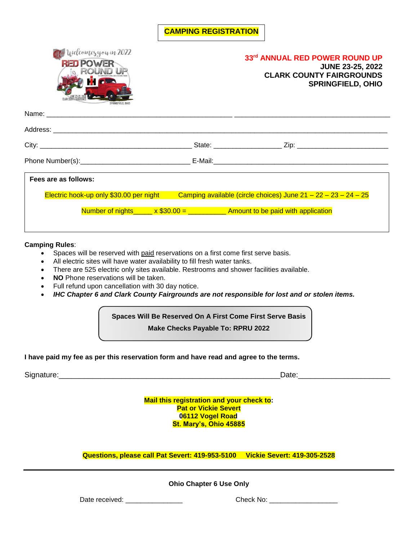## **CAMPING REGISTRATION**



| Fees are as follows: |                                         |                                                                                    |  |
|----------------------|-----------------------------------------|------------------------------------------------------------------------------------|--|
|                      | Electric hook-up only \$30.00 per night | Camping available (circle choices) June $21 - 22 - 23 - 24 - 25$                   |  |
|                      |                                         | Number of nights_____ $x$ \$30.00 = ___________ Amount to be paid with application |  |

### **Camping Rules**:

- Spaces will be reserved with paid reservations on a first come first serve basis.
- All electric sites will have water availability to fill fresh water tanks.
- There are 525 electric only sites available. Restrooms and shower facilities available.
- **NO** Phone reservations will be taken.
- Full refund upon cancellation with 30 day notice.
- *IHC Chapter 6 and Clark County Fairgrounds are not responsible for lost and or stolen items.*

## **Spaces Will Be Reserved On A First Come First Serve Basis Make Checks Payable To: RPRU 2022**

### **I have paid my fee as per this reservation form and have read and agree to the terms.**

Signature:\_\_\_\_\_\_\_\_\_\_\_\_\_\_\_\_\_\_\_\_\_\_\_\_\_\_\_\_\_\_\_\_\_\_\_\_\_\_\_\_\_\_\_\_\_\_\_\_\_\_\_\_\_Date:\_\_\_\_\_\_\_\_\_\_\_\_\_\_\_\_\_\_\_\_\_\_

**Mail this registration and your check to: Pat or Vickie Severt 06112 Vogel Road St. Mary's, Ohio 45885**

**Questions, please call Pat Severt: 419-953-5100 Vickie Severt: 419-305-2528**

**Ohio Chapter 6 Use Only**

Date received: \_\_\_\_\_\_\_\_\_\_\_\_\_\_\_ Check No: \_\_\_\_\_\_\_\_\_\_\_\_\_\_\_\_\_\_